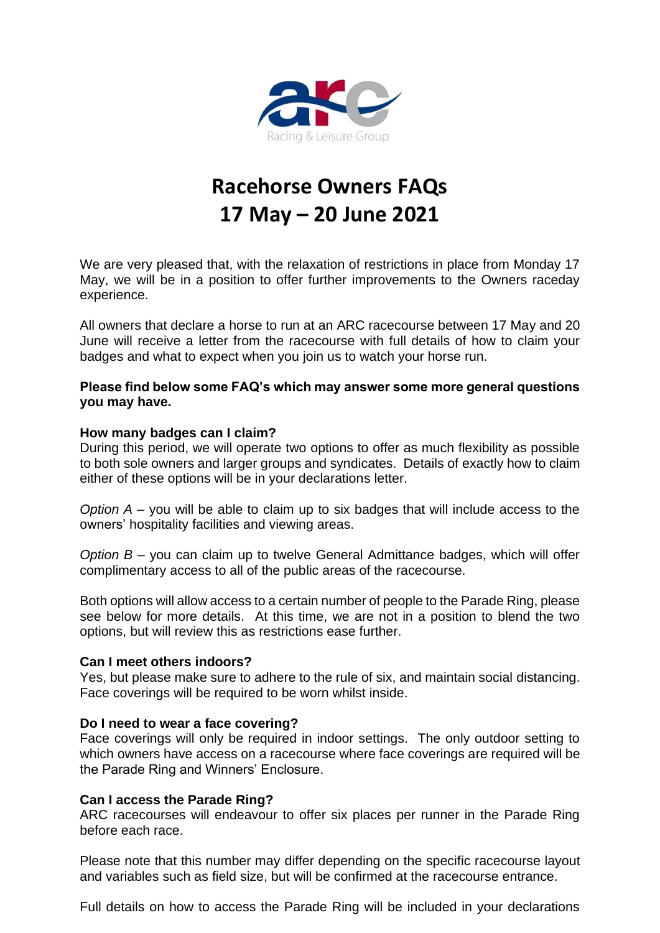

# **Racehorse Owners FAQs 17 May – 20 June 2021**

We are very pleased that, with the relaxation of restrictions in place from Monday 17 May, we will be in a position to offer further improvements to the Owners raceday experience.

All owners that declare a horse to run at an ARC racecourse between 17 May and 20 June will receive a letter from the racecourse with full details of how to claim your badges and what to expect when you join us to watch your horse run.

# **Please find below some FAQ's which may answer some more general questions you may have.**

# **How many badges can I claim?**

During this period, we will operate two options to offer as much flexibility as possible to both sole owners and larger groups and syndicates. Details of exactly how to claim either of these options will be in your declarations letter.

*Option A* – you will be able to claim up to six badges that will include access to the owners' hospitality facilities and viewing areas.

*Option B* – you can claim up to twelve General Admittance badges, which will offer complimentary access to all of the public areas of the racecourse.

Both options will allow access to a certain number of people to the Parade Ring, please see below for more details. At this time, we are not in a position to blend the two options, but will review this as restrictions ease further.

#### **Can I meet others indoors?**

Yes, but please make sure to adhere to the rule of six, and maintain social distancing. Face coverings will be required to be worn whilst inside.

#### **Do I need to wear a face covering?**

Face coverings will only be required in indoor settings. The only outdoor setting to which owners have access on a racecourse where face coverings are required will be the Parade Ring and Winners' Enclosure.

# **Can I access the Parade Ring?**

ARC racecourses will endeavour to offer six places per runner in the Parade Ring before each race.

Please note that this number may differ depending on the specific racecourse layout and variables such as field size, but will be confirmed at the racecourse entrance.

Full details on how to access the Parade Ring will be included in your declarations